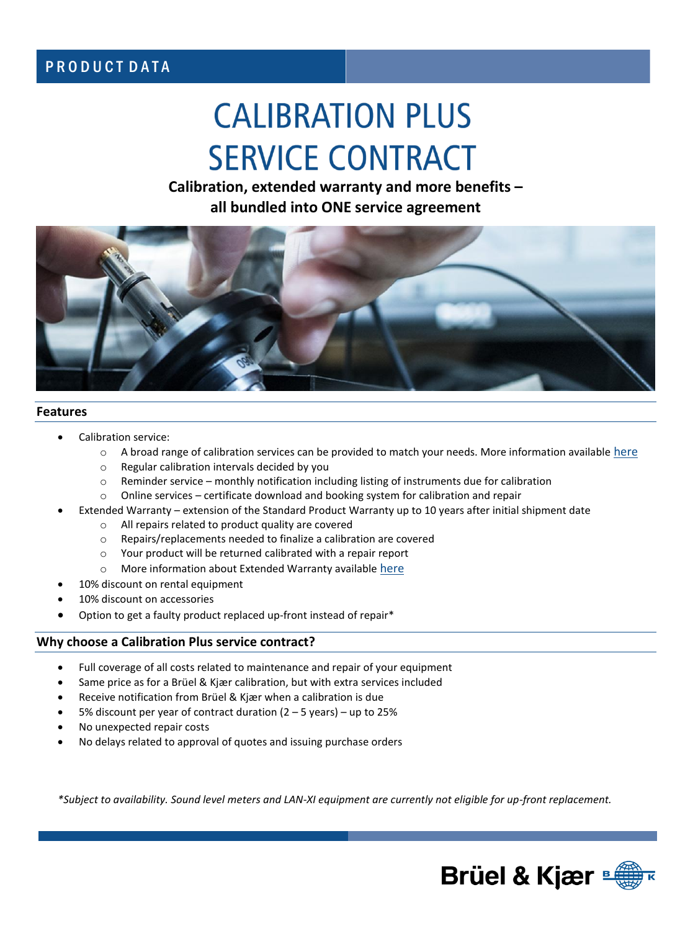# PRODUCT DATA

# **CALIBRATION PLUS SERVICE CONTRACT**

**Calibration, extended warranty and more benefits – all bundled into ONE service agreement** 



#### **Features**

- Calibration service:
	- $\circ$  A broad range of calibration services can be provided to match your needs. More information available [here](https://www.bksv.com/en/Service/Calibration-and-verification)
	- o Regular calibration intervals decided by you
	- $\circ$  Reminder service monthly notification including listing of instruments due for calibration
	- o Online services certificate download and booking system for calibration and repair
- Extended Warranty extension of the Standard Product Warranty up to 10 years after initial shipment date
	- o All repairs related to product quality are covered
	- o Repairs/replacements needed to finalize a calibration are covered
	- o Your product will be returned calibrated with a repair report
	- o More information about Extended Warranty available [here](https://www.bksv.com/en/Service/Service-and-support-contracts/Extended-warranty-hardware)
- 10% discount on rental equipment
- 10% discount on accessories
- Option to get a faulty product replaced up-front instead of repair\*

## **Why choose a Calibration Plus service contract?**

- Full coverage of all costs related to maintenance and repair of your equipment
- Same price as for a Brüel & Kjær calibration, but with extra services included
- Receive notification from Brüel & Kjær when a calibration is due
- 5% discount per year of contract duration (2 5 years) up to 25%
- No unexpected repair costs
- No delays related to approval of quotes and issuing purchase orders

*\*Subject to availability. Sound level meters and LAN-XI equipment are currently not eligible for up-front replacement.*